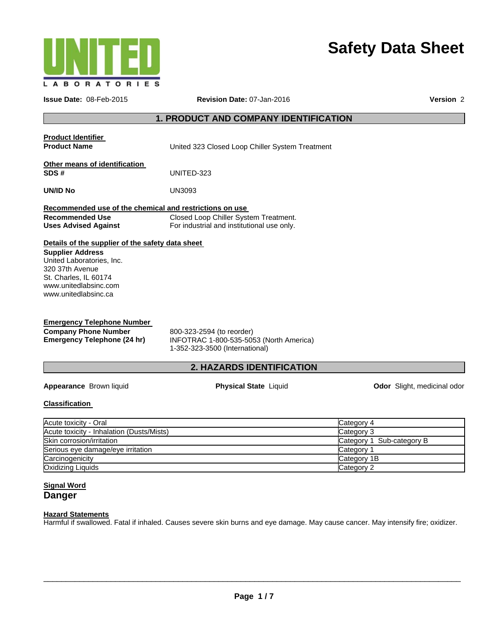

# **Safety Data Sheet**

| <b>Issue Date: 08-Feb-2015</b>                                                                                                                                       | Revision Date: 07-Jan-2016                                                                             | Version 2                                                                          |  |  |
|----------------------------------------------------------------------------------------------------------------------------------------------------------------------|--------------------------------------------------------------------------------------------------------|------------------------------------------------------------------------------------|--|--|
| <b>1. PRODUCT AND COMPANY IDENTIFICATION</b>                                                                                                                         |                                                                                                        |                                                                                    |  |  |
| <b>Product Identifier</b><br><b>Product Name</b>                                                                                                                     | United 323 Closed Loop Chiller System Treatment                                                        |                                                                                    |  |  |
| Other means of identification<br>SDS#                                                                                                                                | UNITED-323                                                                                             |                                                                                    |  |  |
| UN/ID No                                                                                                                                                             | UN3093                                                                                                 |                                                                                    |  |  |
| Recommended use of the chemical and restrictions on use<br><b>Recommended Use</b><br><b>Uses Advised Against</b><br>Details of the supplier of the safety data sheet | Closed Loop Chiller System Treatment.<br>For industrial and institutional use only.                    |                                                                                    |  |  |
| <b>Supplier Address</b><br>United Laboratories, Inc.<br>320 37th Avenue<br>St. Charles, IL 60174<br>www.unitedlabsinc.com<br>www.unitedlabsinc.ca                    |                                                                                                        |                                                                                    |  |  |
| <b>Emergency Telephone Number</b><br><b>Company Phone Number</b><br><b>Emergency Telephone (24 hr)</b>                                                               | 800-323-2594 (to reorder)<br>INFOTRAC 1-800-535-5053 (North America)<br>1-352-323-3500 (International) |                                                                                    |  |  |
|                                                                                                                                                                      | 2. HAZARDS IDENTIFICATION                                                                              |                                                                                    |  |  |
| Appearance Brown liquid                                                                                                                                              | <b>Physical State Liquid</b>                                                                           | Odor Slight, medicinal odor                                                        |  |  |
| <b>Classification</b>                                                                                                                                                |                                                                                                        |                                                                                    |  |  |
| Acute toxicity - Oral<br>Acute toxicity - Inhalation (Dusts/Mists)<br>Skin corrosion/irritation<br>Serious eye damage/eye irritation<br>Carcinogenicity              |                                                                                                        | Category 4<br>Category 3<br>Category 1 Sub-category B<br>Category 1<br>Category 1B |  |  |
| Oxidizing Liquids<br><b>Signal Word</b>                                                                                                                              |                                                                                                        | Category 2                                                                         |  |  |

**Danger** 

#### **Hazard Statements**

Harmful if swallowed. Fatal if inhaled. Causes severe skin burns and eye damage. May cause cancer. May intensify fire; oxidizer.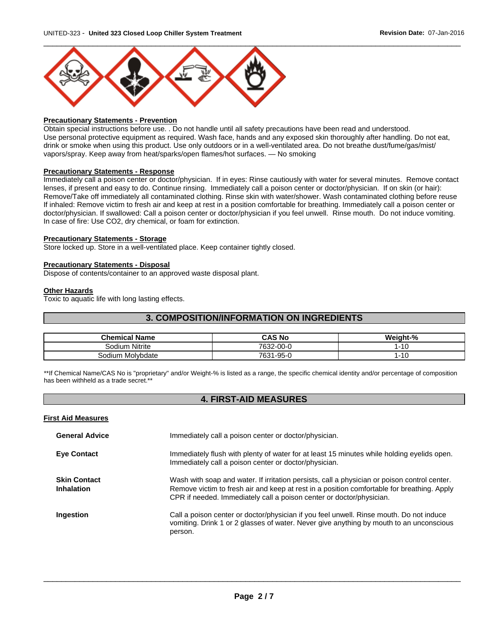

#### **Precautionary Statements - Prevention**

Obtain special instructions before use. . Do not handle until all safety precautions have been read and understood. Use personal protective equipment as required. Wash face, hands and any exposed skin thoroughly after handling. Do not eat, drink or smoke when using this product. Use only outdoors or in a well-ventilated area. Do not breathe dust/fume/gas/mist/ vapors/spray. Keep away from heat/sparks/open flames/hot surfaces. — No smoking

#### **Precautionary Statements - Response**

Immediately call a poison center or doctor/physician. If in eyes: Rinse cautiously with water for several minutes. Remove contact lenses, if present and easy to do. Continue rinsing. Immediately call a poison center or doctor/physician. If on skin (or hair): Remove/Take off immediately all contaminated clothing. Rinse skin with water/shower. Wash contaminated clothing before reuse If inhaled: Remove victim to fresh air and keep at rest in a position comfortable for breathing. Immediately call a poison center or doctor/physician. If swallowed: Call a poison center or doctor/physician if you feel unwell. Rinse mouth. Do not induce vomiting. In case of fire: Use CO2, dry chemical, or foam for extinction.

#### **Precautionary Statements - Storage**

Store locked up. Store in a well-ventilated place. Keep container tightly closed.

#### **Precautionary Statements - Disposal**

Dispose of contents/container to an approved waste disposal plant.

#### **Other Hazards**

Toxic to aquatic life with long lasting effects.

### **3. COMPOSITION/INFORMATION ON INGREDIENTS**

| <b>Chemical Name</b> | <b>CAS No</b>   | Weight-% |
|----------------------|-----------------|----------|
| Sodium Nitrite       | 32-00-0         | -10      |
| Sodium Molybdate     | l-95-0<br>7631- | $-10$    |

\*\*If Chemical Name/CAS No is "proprietary" and/or Weight-% is listed as a range, the specific chemical identity and/or percentage of composition has been withheld as a trade secret.\*\*

### **4. FIRST-AID MEASURES**

#### **First Aid Measures**

| <b>General Advice</b>                    | Immediately call a poison center or doctor/physician.                                                                                                                                                                                                              |
|------------------------------------------|--------------------------------------------------------------------------------------------------------------------------------------------------------------------------------------------------------------------------------------------------------------------|
| <b>Eye Contact</b>                       | Immediately flush with plenty of water for at least 15 minutes while holding eyelids open.<br>Immediately call a poison center or doctor/physician.                                                                                                                |
| <b>Skin Contact</b><br><b>Inhalation</b> | Wash with soap and water. If irritation persists, call a physician or poison control center.<br>Remove victim to fresh air and keep at rest in a position comfortable for breathing. Apply<br>CPR if needed. Immediately call a poison center or doctor/physician. |
| Ingestion                                | Call a poison center or doctor/physician if you feel unwell. Rinse mouth. Do not induce<br>vomiting. Drink 1 or 2 glasses of water. Never give anything by mouth to an unconscious<br>person.                                                                      |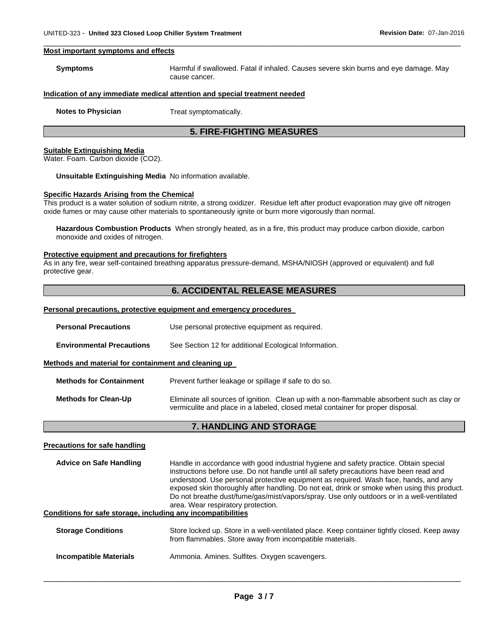#### **Most important symptoms and effects**

| <b>Symptoms</b> | Harmful if swallowed. Fatal if inhaled. Causes severe skin burns and eye damage. May |
|-----------------|--------------------------------------------------------------------------------------|
|                 | cause cancer.                                                                        |

 $\Box$ 

#### **Indication of any immediate medical attention and special treatment needed**

**Notes to Physician**  Treat symptomatically.

#### **5. FIRE-FIGHTING MEASURES**

#### **Suitable Extinguishing Media**

Water. Foam. Carbon dioxide (CO2).

#### **Unsuitable Extinguishing Media** No information available.

#### **Specific Hazards Arising from the Chemical**

This product is a water solution of sodium nitrite, a strong oxidizer. Residue left after product evaporation may give off nitrogen oxide fumes or may cause other materials to spontaneously ignite or burn more vigorously than normal.

**Hazardous Combustion Products** When strongly heated, as in a fire, this product may produce carbon dioxide, carbon monoxide and oxides of nitrogen.

#### **Protective equipment and precautions for firefighters**

As in any fire, wear self-contained breathing apparatus pressure-demand, MSHA/NIOSH (approved or equivalent) and full protective gear.

### **6. ACCIDENTAL RELEASE MEASURES**

#### **Personal precautions, protective equipment and emergency procedures**

| <b>Personal Precautions</b>                          | Use personal protective equipment as required.                                                                                                                                |  |  |
|------------------------------------------------------|-------------------------------------------------------------------------------------------------------------------------------------------------------------------------------|--|--|
| <b>Environmental Precautions</b>                     | See Section 12 for additional Ecological Information.                                                                                                                         |  |  |
| Methods and material for containment and cleaning up |                                                                                                                                                                               |  |  |
| <b>Methods for Containment</b>                       | Prevent further leakage or spillage if safe to do so.                                                                                                                         |  |  |
| <b>Methods for Clean-Up</b>                          | Eliminate all sources of ignition. Clean up with a non-flammable absorbent such as clay or<br>vermiculite and place in a labeled, closed metal container for proper disposal. |  |  |

### **7. HANDLING AND STORAGE**

#### **Precautions for safe handling**

**Advice on Safe Handling** Handle in accordance with good industrial hygiene and safety practice. Obtain special instructions before use. Do not handle until all safety precautions have been read and understood. Use personal protective equipment as required. Wash face, hands, and any exposed skin thoroughly after handling. Do not eat, drink or smoke when using this product. Do not breathe dust/fume/gas/mist/vapors/spray. Use only outdoors or in a well-ventilated area. Wear respiratory protection.

#### **Conditions for safe storage, including any incompatibilities**

| <b>Storage Conditions</b>     | Store locked up. Store in a well-ventilated place. Keep container tightly closed. Keep away<br>from flammables. Store away from incompatible materials. |
|-------------------------------|---------------------------------------------------------------------------------------------------------------------------------------------------------|
| <b>Incompatible Materials</b> | Ammonia. Amines. Sulfites. Oxygen scavengers.                                                                                                           |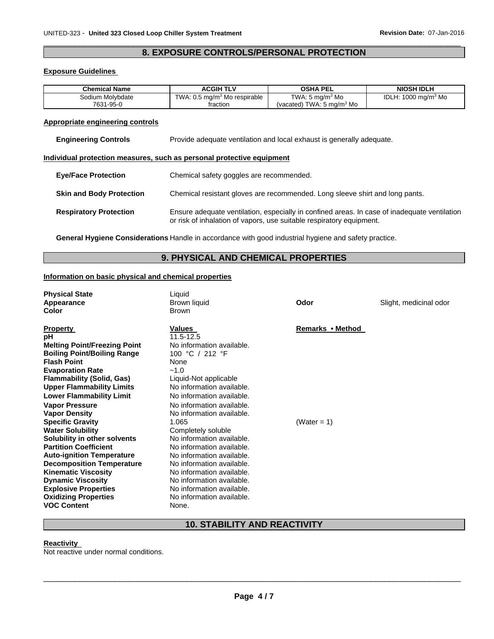### $\Box$ **8. EXPOSURE CONTROLS/PERSONAL PROTECTION**

#### **Exposure Guidelines**

| <b>Chemical Name</b> | <b>ACGIH TLV</b>                         | <b>OSHA PEL</b>                      | <b>NIOSH IDLH</b>                      |
|----------------------|------------------------------------------|--------------------------------------|----------------------------------------|
| Sodium Molvbdate     | TWA: 0.5 mg/m <sup>3</sup> Mo respirable | TWA: 5 mg/m <sup>3</sup> Mo          | IDLH: $1000 \text{ mg/m}^3 \text{ Mo}$ |
| 7631-95-0            | fraction                                 | (vacated) TWA: $5 \text{ ma/m}^3$ Mo |                                        |

#### **Appropriate engineering controls**

| <b>Engineering Controls</b> | Provide adequate ventilation and local exhaust is generally adequate. |
|-----------------------------|-----------------------------------------------------------------------|
|-----------------------------|-----------------------------------------------------------------------|

#### **Individual protection measures, such as personal protective equipment**

| <b>Eve/Face Protection</b>      | Chemical safety goggles are recommended.                                                                                                                             |
|---------------------------------|----------------------------------------------------------------------------------------------------------------------------------------------------------------------|
| <b>Skin and Body Protection</b> | Chemical resistant gloves are recommended. Long sleeve shirt and long pants.                                                                                         |
| <b>Respiratory Protection</b>   | Ensure adequate ventilation, especially in confined areas. In case of inadequate ventilation<br>or risk of inhalation of vapors, use suitable respiratory equipment. |

**General Hygiene Considerations** Handle in accordance with good industrial hygiene and safety practice.

### **9. PHYSICAL AND CHEMICAL PROPERTIES**

#### **Information on basic physical and chemical properties**

| <b>Physical State</b><br>Appearance<br>Color                                                                                                                                                                                                                                                                                                                                                                                                                                                                                                                                                                                                                | Liquid<br>Brown liquid<br><b>Brown</b>                                                                                                                                                                                                                                                                                                                                                                                                                                                                                    | Odor                            | Slight, medicinal odor |
|-------------------------------------------------------------------------------------------------------------------------------------------------------------------------------------------------------------------------------------------------------------------------------------------------------------------------------------------------------------------------------------------------------------------------------------------------------------------------------------------------------------------------------------------------------------------------------------------------------------------------------------------------------------|---------------------------------------------------------------------------------------------------------------------------------------------------------------------------------------------------------------------------------------------------------------------------------------------------------------------------------------------------------------------------------------------------------------------------------------------------------------------------------------------------------------------------|---------------------------------|------------------------|
| <b>Property</b><br>рH<br><b>Melting Point/Freezing Point</b><br><b>Boiling Point/Boiling Range</b><br><b>Flash Point</b><br><b>Evaporation Rate</b><br><b>Flammability (Solid, Gas)</b><br><b>Upper Flammability Limits</b><br><b>Lower Flammability Limit</b><br><b>Vapor Pressure</b><br><b>Vapor Density</b><br><b>Specific Gravity</b><br><b>Water Solubility</b><br>Solubility in other solvents<br><b>Partition Coefficient</b><br><b>Auto-ignition Temperature</b><br><b>Decomposition Temperature</b><br><b>Kinematic Viscosity</b><br><b>Dynamic Viscosity</b><br><b>Explosive Properties</b><br><b>Oxidizing Properties</b><br><b>VOC Content</b> | <b>Values</b><br>11.5-12.5<br>No information available.<br>100 °C / 212 °F<br>None<br>$-1.0$<br>Liquid-Not applicable<br>No information available.<br>No information available.<br>No information available.<br>No information available.<br>1.065<br>Completely soluble<br>No information available.<br>No information available.<br>No information available.<br>No information available.<br>No information available.<br>No information available.<br>No information available.<br>No information available.<br>None. | Remarks • Method<br>(Water = 1) |                        |
|                                                                                                                                                                                                                                                                                                                                                                                                                                                                                                                                                                                                                                                             |                                                                                                                                                                                                                                                                                                                                                                                                                                                                                                                           |                                 |                        |

## **10. STABILITY AND REACTIVITY**

#### **Reactivity**

Not reactive under normal conditions.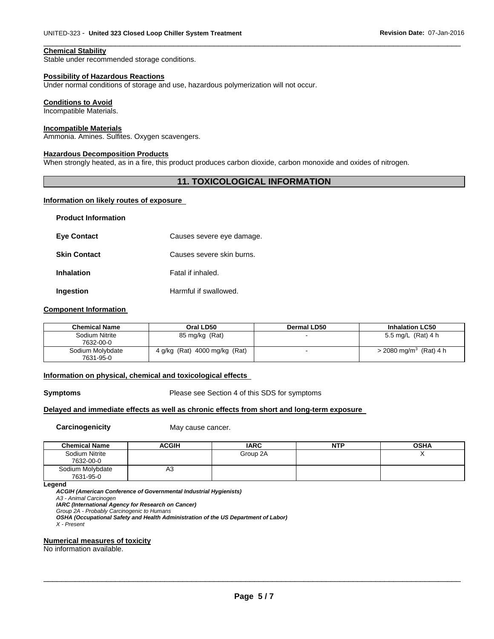#### **Chemical Stability**

Stable under recommended storage conditions.

#### **Possibility of Hazardous Reactions**

Under normal conditions of storage and use, hazardous polymerization will not occur.

#### **Conditions to Avoid**

Incompatible Materials.

#### **Incompatible Materials**

Ammonia. Amines. Sulfites. Oxygen scavengers.

#### **Hazardous Decomposition Products**

When strongly heated, as in a fire, this product produces carbon dioxide, carbon monoxide and oxides of nitrogen.

### **11. TOXICOLOGICAL INFORMATION**

 $\Box$ 

#### **Information on likely routes of exposure**

| <b>Product Information</b> |                           |
|----------------------------|---------------------------|
| <b>Eye Contact</b>         | Causes severe eye damage. |
| <b>Skin Contact</b>        | Causes severe skin burns. |
| <b>Inhalation</b>          | Fatal if inhaled.         |
| Ingestion                  | Harmful if swallowed.     |

#### **Component Information**

| <b>Chemical Name</b>          | Oral LD50                     | Dermal LD50 | <b>Inhalation LC50</b>               |
|-------------------------------|-------------------------------|-------------|--------------------------------------|
| Sodium Nitrite<br>7632-00-0   | 85 mg/kg (Rat)                |             | 5.5 mg/L (Rat) 4 h                   |
| Sodium Molybdate<br>7631-95-0 | 4 g/kg (Rat) 4000 mg/kg (Rat) |             | $>$ 2080 mg/m <sup>3</sup> (Rat) 4 h |

#### **Information on physical, chemical and toxicological effects**

**Symptoms** Please see Section 4 of this SDS for symptoms

#### **Delayed and immediate effects as well as chronic effects from short and long-term exposure**

**Carcinogenicity May cause cancer.** 

| <b>Chemical Name</b>          | <b>ACGIH</b> | <b>IARC</b> | NTP | OSHA |
|-------------------------------|--------------|-------------|-----|------|
| Sodium Nitrite<br>7632-00-0   |              | Group 2A    |     |      |
| Sodium Molybdate<br>7631-95-0 | A3           |             |     |      |

**Legend** 

*ACGIH (American Conference of Governmental Industrial Hygienists)* 

*A3 - Animal Carcinogen* 

*IARC (International Agency for Research on Cancer)* 

*Group 2A - Probably Carcinogenic to Humans* 

*OSHA (Occupational Safety and Health Administration of the US Department of Labor) X - Present* 

#### **Numerical measures of toxicity**

No information available.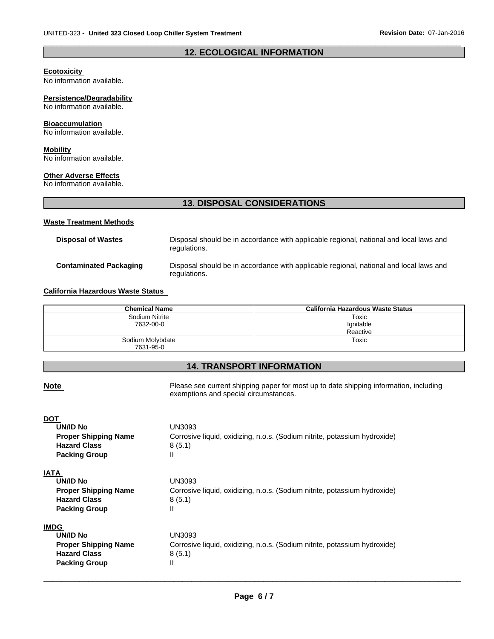### $\Box$ **12. ECOLOGICAL INFORMATION**

#### **Ecotoxicity**

No information available.

#### **Persistence/Degradability**

No information available.

#### **Bioaccumulation**

No information available.

#### **Mobility**

No information available.

#### **Other Adverse Effects**

No information available.

### **13. DISPOSAL CONSIDERATIONS**

#### **Waste Treatment Methods**

| Disposal of Wastes     | Disposal should be in accordance with applicable regional, national and local laws and<br>regulations. |
|------------------------|--------------------------------------------------------------------------------------------------------|
| Contaminated Packaging | Disposal should be in accordance with applicable regional, national and local laws and<br>regulations. |

#### **California Hazardous Waste Status**

| <b>Chemical Name</b>          | California Hazardous Waste Status |
|-------------------------------|-----------------------------------|
| Sodium Nitrite                | Toxic                             |
| 7632-00-0                     | Ignitable                         |
|                               | Reactive                          |
| Sodium Molybdate<br>7631-95-0 | Toxic                             |

### **14. TRANSPORT INFORMATION**

## \_\_\_\_\_\_\_\_\_\_\_\_\_\_\_\_\_\_\_\_\_\_\_\_\_\_\_\_\_\_\_\_\_\_\_\_\_\_\_\_\_\_\_\_\_\_\_\_\_\_\_\_\_\_\_\_\_\_\_\_\_\_\_\_\_\_\_\_\_\_\_\_\_\_\_\_\_\_\_\_\_\_\_\_\_\_\_\_\_\_\_\_\_ **Note Note Please see current shipping paper for most up to date shipping information, including** exemptions and special circumstances. **DOT UN/ID No** UN3093 **Proper Shipping Name Corrosive liquid, oxidizing, n.o.s. (Sodium nitrite, potassium hydroxide)** Hazard Class 8 (5.1) **Packing Group** II **IATA UN/ID No** UN3093 **Proper Shipping Name** Corrosive liquid, oxidizing, n.o.s. (Sodium nitrite, potassium hydroxide) Hazard Class 8 (5.1) **Packing Group** II **IMDG UN/ID No** UN3093 **Proper Shipping Name** Corrosive liquid, oxidizing, n.o.s. (Sodium nitrite, potassium hydroxide) Hazard Class 8 (5.1) **Packing Group** II